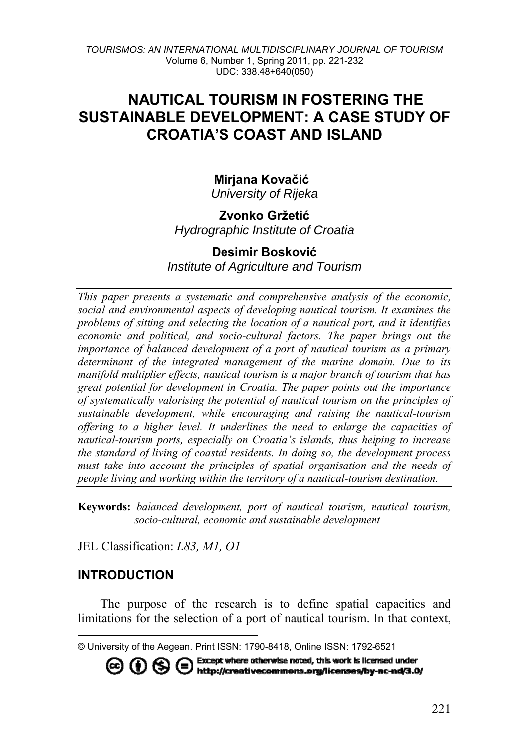*TOURISMOS: AN INTERNATIONAL MULTIDISCIPLINARY JOURNAL OF TOURISM*  Volume 6, Number 1, Spring 2011, pp. 221-232 UDC: 338.48+640(050)

# **NAUTICAL TOURISM IN FOSTERING THE SUSTAINABLE DEVELOPMENT: A CASE STUDY OF CROATIA'S COAST AND ISLAND**

#### **Mirjana Kovačić[1](#page-0-0)** *University of Rijeka*

#### **Zvonko Gržetić** *Hydrographic Institute of Croatia*

#### **Desimir Bosković** *Institute of Agriculture and Tourism*

*This paper presents a systematic and comprehensive analysis of the economic, social and environmental aspects of developing nautical tourism. It examines the problems of sitting and selecting the location of a nautical port, and it identifies economic and political, and socio-cultural factors. The paper brings out the importance of balanced development of a port of nautical tourism as a primary determinant of the integrated management of the marine domain. Due to its manifold multiplier effects, nautical tourism is a major branch of tourism that has great potential for development in Croatia. The paper points out the importance of systematically valorising the potential of nautical tourism on the principles of sustainable development, while encouraging and raising the nautical-tourism offering to a higher level. It underlines the need to enlarge the capacities of nautical-tourism ports, especially on Croatia's islands, thus helping to increase the standard of living of coastal residents. In doing so, the development process must take into account the principles of spatial organisation and the needs of people living and working within the territory of a nautical-tourism destination.* 

**Keywords:** *balanced development, port of nautical tourism, nautical tourism, socio-cultural, economic and sustainable development* 

JEL Classification: *L83, M1, O1* 

#### **INTRODUCTION**

l

The purpose of the research is to define spatial capacities and limitations for the selection of a port of nautical tourism. In that context,

**© ① S ●** Except where otherwise noted, this work is licensed under<br>and A and http://creativecommons.org/licenses/by-nc-nd/3.0/

<span id="page-0-0"></span><sup>©</sup> University of the Aegean. Print ISSN: 1790-8418, Online ISSN: 1792-6521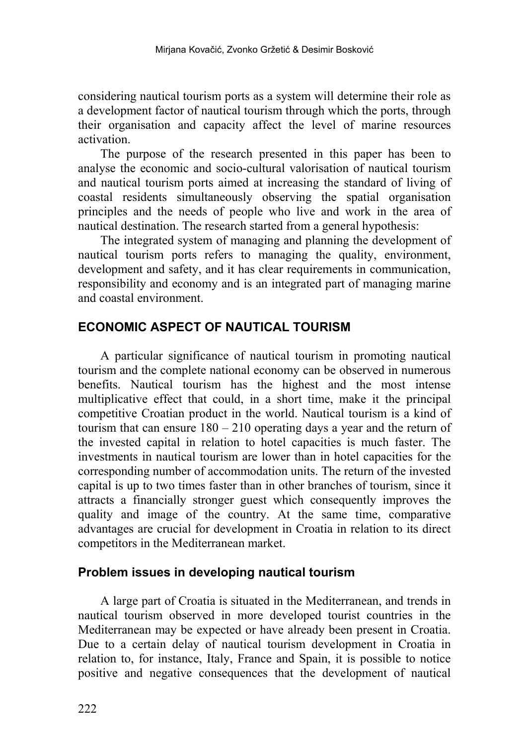considering nautical tourism ports as a system will determine their role as a development factor of nautical tourism through which the ports, through their organisation and capacity affect the level of marine resources activation.

The purpose of the research presented in this paper has been to analyse the economic and socio-cultural valorisation of nautical tourism and nautical tourism ports aimed at increasing the standard of living of coastal residents simultaneously observing the spatial organisation principles and the needs of people who live and work in the area of nautical destination. The research started from a general hypothesis:

The integrated system of managing and planning the development of nautical tourism ports refers to managing the quality, environment, development and safety, and it has clear requirements in communication, responsibility and economy and is an integrated part of managing marine and coastal environment.

## **ECONOMIC ASPECT OF NAUTICAL TOURISM**

A particular significance of nautical tourism in promoting nautical tourism and the complete national economy can be observed in numerous benefits. Nautical tourism has the highest and the most intense multiplicative effect that could, in a short time, make it the principal competitive Croatian product in the world. Nautical tourism is a kind of tourism that can ensure  $180 - 210$  operating days a year and the return of the invested capital in relation to hotel capacities is much faster. The investments in nautical tourism are lower than in hotel capacities for the corresponding number of accommodation units. The return of the invested capital is up to two times faster than in other branches of tourism, since it attracts a financially stronger guest which consequently improves the quality and image of the country. At the same time, comparative advantages are crucial for development in Croatia in relation to its direct competitors in the Mediterranean market.

## **Problem issues in developing nautical tourism**

A large part of Croatia is situated in the Mediterranean, and trends in nautical tourism observed in more developed tourist countries in the Mediterranean may be expected or have already been present in Croatia. Due to a certain delay of nautical tourism development in Croatia in relation to, for instance, Italy, France and Spain, it is possible to notice positive and negative consequences that the development of nautical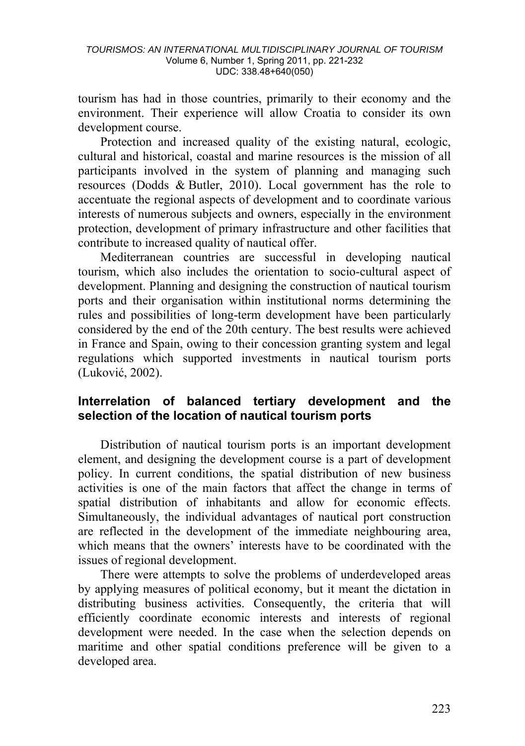tourism has had in those countries, primarily to their economy and the environment. Their experience will allow Croatia to consider its own development course.

Protection and increased quality of the existing natural, ecologic, cultural and historical, coastal and marine resources is the mission of all participants involved in the system of planning and managing such resources (Dodds & Butler, 2010). Local government has the role to accentuate the regional aspects of development and to coordinate various interests of numerous subjects and owners, especially in the environment protection, development of primary infrastructure and other facilities that contribute to increased quality of nautical offer.

Mediterranean countries are successful in developing nautical tourism, which also includes the orientation to socio-cultural aspect of development. Planning and designing the construction of nautical tourism ports and their organisation within institutional norms determining the rules and possibilities of long-term development have been particularly considered by the end of the 20th century. The best results were achieved in France and Spain, owing to their concession granting system and legal regulations which supported investments in nautical tourism ports (Luković, 2002).

#### **Interrelation of balanced tertiary development and the selection of the location of nautical tourism ports**

Distribution of nautical tourism ports is an important development element, and designing the development course is a part of development policy. In current conditions, the spatial distribution of new business activities is one of the main factors that affect the change in terms of spatial distribution of inhabitants and allow for economic effects. Simultaneously, the individual advantages of nautical port construction are reflected in the development of the immediate neighbouring area, which means that the owners' interests have to be coordinated with the issues of regional development.

There were attempts to solve the problems of underdeveloped areas by applying measures of political economy, but it meant the dictation in distributing business activities. Consequently, the criteria that will efficiently coordinate economic interests and interests of regional development were needed. In the case when the selection depends on maritime and other spatial conditions preference will be given to a developed area.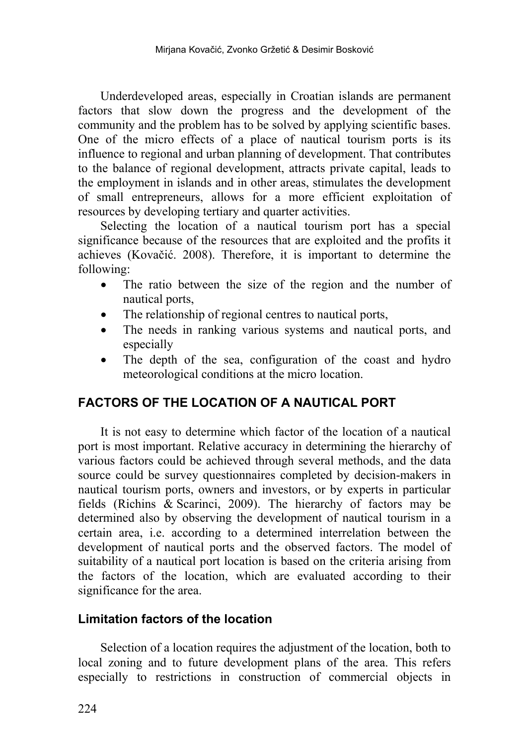Underdeveloped areas, especially in Croatian islands are permanent factors that slow down the progress and the development of the community and the problem has to be solved by applying scientific bases. One of the micro effects of a place of nautical tourism ports is its influence to regional and urban planning of development. That contributes to the balance of regional development, attracts private capital, leads to the employment in islands and in other areas, stimulates the development of small entrepreneurs, allows for a more efficient exploitation of resources by developing tertiary and quarter activities.

Selecting the location of a nautical tourism port has a special significance because of the resources that are exploited and the profits it achieves (Kovačić. 2008). Therefore, it is important to determine the following:

- The ratio between the size of the region and the number of nautical ports,
- The relationship of regional centres to nautical ports,
- The needs in ranking various systems and nautical ports, and especially
- The depth of the sea, configuration of the coast and hydro meteorological conditions at the micro location.

## **FACTORS OF THE LOCATION OF A NAUTICAL PORT**

It is not easy to determine which factor of the location of a nautical port is most important. Relative accuracy in determining the hierarchy of various factors could be achieved through several methods, and the data source could be survey questionnaires completed by decision-makers in nautical tourism ports, owners and investors, or by experts in particular fields (Richins & Scarinci, 2009). The hierarchy of factors may be determined also by observing the development of nautical tourism in a certain area, i.e. according to a determined interrelation between the development of nautical ports and the observed factors. The model of suitability of a nautical port location is based on the criteria arising from the factors of the location, which are evaluated according to their significance for the area.

## **Limitation factors of the location**

Selection of a location requires the adjustment of the location, both to local zoning and to future development plans of the area. This refers especially to restrictions in construction of commercial objects in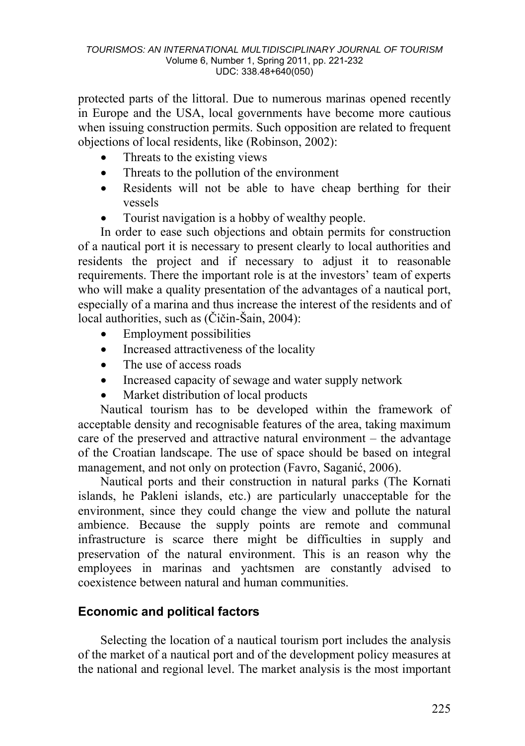protected parts of the littoral. Due to numerous marinas opened recently in Europe and the USA, local governments have become more cautious when issuing construction permits. Such opposition are related to frequent objections of local residents, like (Robinson, 2002):

- Threats to the existing views
- Threats to the pollution of the environment
- Residents will not be able to have cheap berthing for their vessels
- Tourist navigation is a hobby of wealthy people.

In order to ease such objections and obtain permits for construction of a nautical port it is necessary to present clearly to local authorities and residents the project and if necessary to adjust it to reasonable requirements. There the important role is at the investors' team of experts who will make a quality presentation of the advantages of a nautical port, especially of a marina and thus increase the interest of the residents and of local authorities, such as (Čičin-Šain, 2004):

- Employment possibilities
- Increased attractiveness of the locality
- The use of access roads
- Increased capacity of sewage and water supply network
- Market distribution of local products

Nautical tourism has to be developed within the framework of acceptable density and recognisable features of the area, taking maximum care of the preserved and attractive natural environment – the advantage of the Croatian landscape. The use of space should be based on integral management, and not only on protection (Favro, Saganić, 2006).

Nautical ports and their construction in natural parks (The Kornati islands, he Pakleni islands, etc.) are particularly unacceptable for the environment, since they could change the view and pollute the natural ambience. Because the supply points are remote and communal infrastructure is scarce there might be difficulties in supply and preservation of the natural environment. This is an reason why the employees in marinas and yachtsmen are constantly advised to coexistence between natural and human communities.

## **Economic and political factors**

Selecting the location of a nautical tourism port includes the analysis of the market of a nautical port and of the development policy measures at the national and regional level. The market analysis is the most important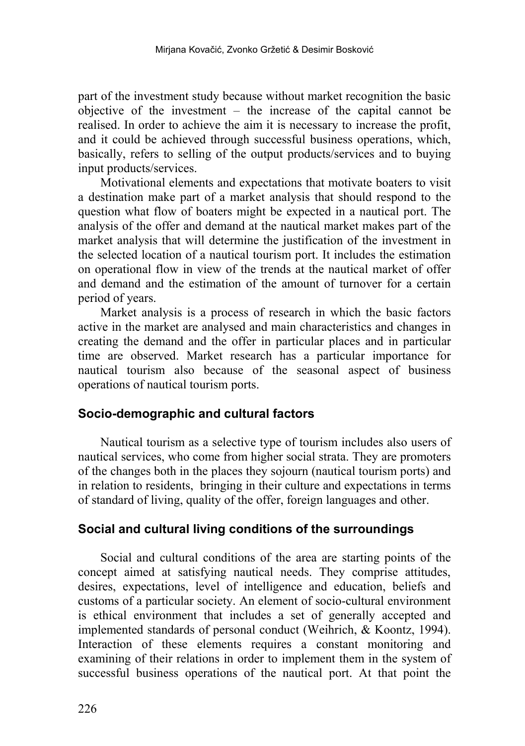part of the investment study because without market recognition the basic objective of the investment – the increase of the capital cannot be realised. In order to achieve the aim it is necessary to increase the profit, and it could be achieved through successful business operations, which, basically, refers to selling of the output products/services and to buying input products/services.

Motivational elements and expectations that motivate boaters to visit a destination make part of a market analysis that should respond to the question what flow of boaters might be expected in a nautical port. The analysis of the offer and demand at the nautical market makes part of the market analysis that will determine the justification of the investment in the selected location of a nautical tourism port. It includes the estimation on operational flow in view of the trends at the nautical market of offer and demand and the estimation of the amount of turnover for a certain period of years.

Market analysis is a process of research in which the basic factors active in the market are analysed and main characteristics and changes in creating the demand and the offer in particular places and in particular time are observed. Market research has a particular importance for nautical tourism also because of the seasonal aspect of business operations of nautical tourism ports.

#### **Socio-demographic and cultural factors**

Nautical tourism as a selective type of tourism includes also users of nautical services, who come from higher social strata. They are promoters of the changes both in the places they sojourn (nautical tourism ports) and in relation to residents, bringing in their culture and expectations in terms of standard of living, quality of the offer, foreign languages and other.

#### **Social and cultural living conditions of the surroundings**

Social and cultural conditions of the area are starting points of the concept aimed at satisfying nautical needs. They comprise attitudes, desires, expectations, level of intelligence and education, beliefs and customs of a particular society. An element of socio-cultural environment is ethical environment that includes a set of generally accepted and implemented standards of personal conduct (Weihrich, & Koontz, 1994). Interaction of these elements requires a constant monitoring and examining of their relations in order to implement them in the system of successful business operations of the nautical port. At that point the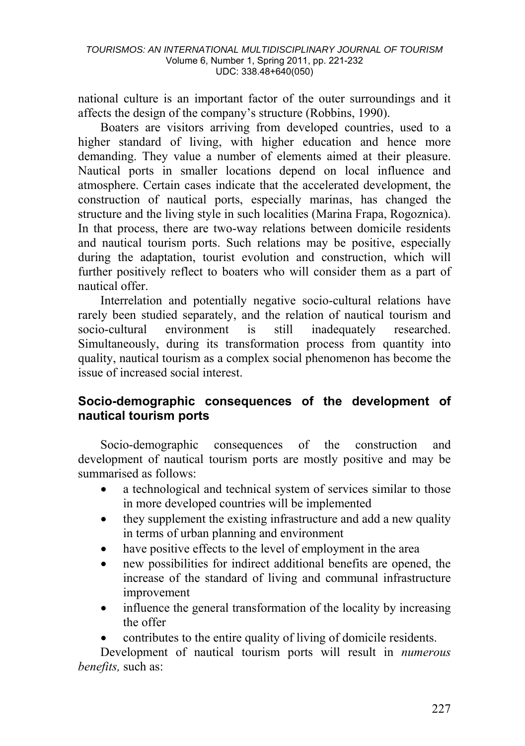national culture is an important factor of the outer surroundings and it affects the design of the company's structure (Robbins, 1990).

Boaters are visitors arriving from developed countries, used to a higher standard of living, with higher education and hence more demanding. They value a number of elements aimed at their pleasure. Nautical ports in smaller locations depend on local influence and atmosphere. Certain cases indicate that the accelerated development, the construction of nautical ports, especially marinas, has changed the structure and the living style in such localities (Marina Frapa, Rogoznica). In that process, there are two-way relations between domicile residents and nautical tourism ports. Such relations may be positive, especially during the adaptation, tourist evolution and construction, which will further positively reflect to boaters who will consider them as a part of nautical offer.

Interrelation and potentially negative socio-cultural relations have rarely been studied separately, and the relation of nautical tourism and socio-cultural environment is still inadequately researched. Simultaneously, during its transformation process from quantity into quality, nautical tourism as a complex social phenomenon has become the issue of increased social interest.

## **Socio-demographic consequences of the development of nautical tourism ports**

Socio-demographic consequences of the construction and development of nautical tourism ports are mostly positive and may be summarised as follows:

- a technological and technical system of services similar to those in more developed countries will be implemented
- they supplement the existing infrastructure and add a new quality in terms of urban planning and environment
- have positive effects to the level of employment in the area
- new possibilities for indirect additional benefits are opened, the increase of the standard of living and communal infrastructure improvement
- influence the general transformation of the locality by increasing the offer
- contributes to the entire quality of living of domicile residents.

Development of nautical tourism ports will result in *numerous benefits,* such as: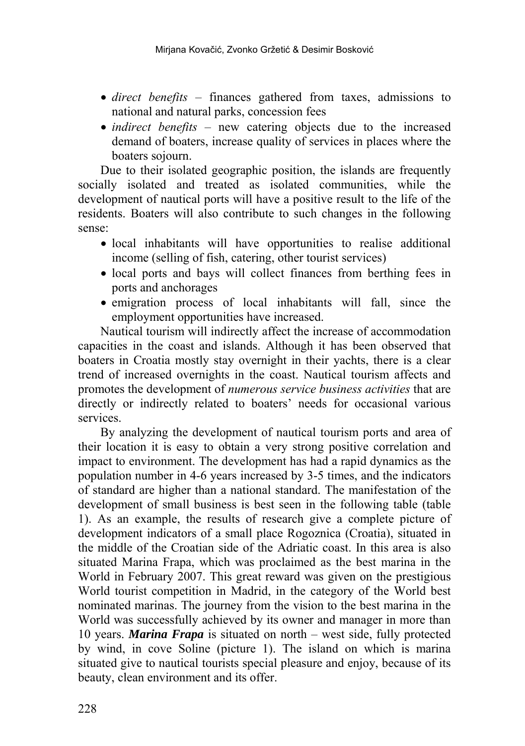- *direct benefits*  finances gathered from taxes, admissions to national and natural parks, concession fees
- *indirect benefits* new catering objects due to the increased demand of boaters, increase quality of services in places where the boaters sojourn.

Due to their isolated geographic position, the islands are frequently socially isolated and treated as isolated communities, while the development of nautical ports will have a positive result to the life of the residents. Boaters will also contribute to such changes in the following sense:

- local inhabitants will have opportunities to realise additional income (selling of fish, catering, other tourist services)
- local ports and bays will collect finances from berthing fees in ports and anchorages
- emigration process of local inhabitants will fall, since the employment opportunities have increased.

Nautical tourism will indirectly affect the increase of accommodation capacities in the coast and islands. Although it has been observed that boaters in Croatia mostly stay overnight in their yachts, there is a clear trend of increased overnights in the coast. Nautical tourism affects and promotes the development of *numerous service business activities* that are directly or indirectly related to boaters' needs for occasional various services.

By analyzing the development of nautical tourism ports and area of their location it is easy to obtain a very strong positive correlation and impact to environment. The development has had a rapid dynamics as the population number in 4-6 years increased by 3-5 times, and the indicators of standard are higher than a national standard. The manifestation of the development of small business is best seen in the following table (table 1). As an example, the results of research give a complete picture of development indicators of a small place Rogoznica (Croatia), situated in the middle of the Croatian side of the Adriatic coast. In this area is also situated Marina Frapa, which was proclaimed as the best marina in the World in February 2007. This great reward was given on the prestigious World tourist competition in Madrid, in the category of the World best nominated marinas. The journey from the vision to the best marina in the World was successfully achieved by its owner and manager in more than 10 years. *Marina Frapa* is situated on north – west side, fully protected by wind, in cove Soline (picture 1). The island on which is marina situated give to nautical tourists special pleasure and enjoy, because of its beauty, clean environment and its offer.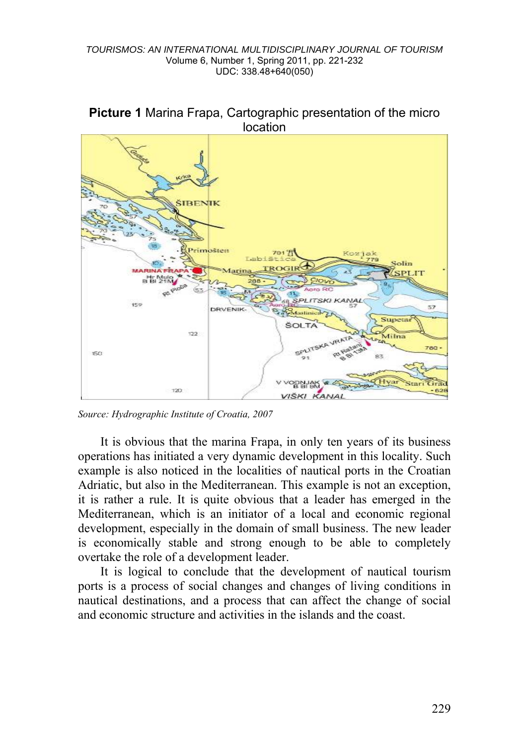#### *TOURISMOS: AN INTERNATIONAL MULTIDISCIPLINARY JOURNAL OF TOURISM*  Volume 6, Number 1, Spring 2011, pp. 221-232 UDC: 338.48+640(050)





*Source: Hydrographic Institute of Croatia, 2007* 

It is obvious that the marina Frapa, in only ten years of its business operations has initiated a very dynamic development in this locality. Such example is also noticed in the localities of nautical ports in the Croatian Adriatic, but also in the Mediterranean. This example is not an exception, it is rather a rule. It is quite obvious that a leader has emerged in the Mediterranean, which is an initiator of a local and economic regional development, especially in the domain of small business. The new leader is economically stable and strong enough to be able to completely overtake the role of a development leader.

It is logical to conclude that the development of nautical tourism ports is a process of social changes and changes of living conditions in nautical destinations, and a process that can affect the change of social and economic structure and activities in the islands and the coast.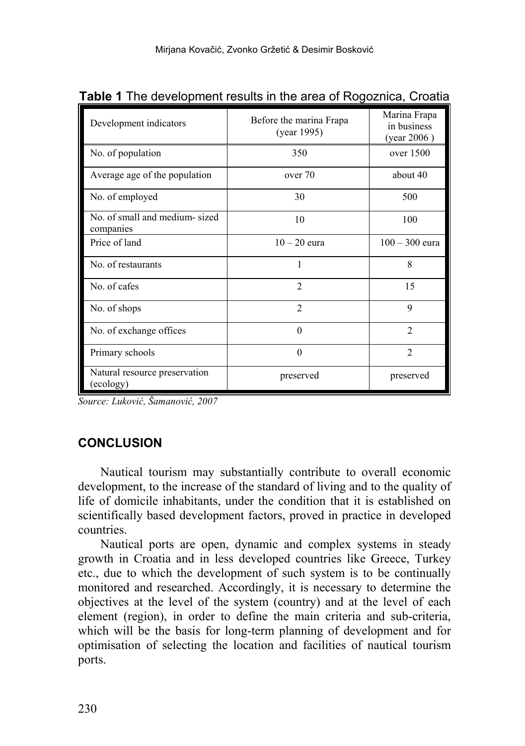| Development indicators                     | Before the marina Frapa<br>(year 1995) | Marina Frapa<br>in business<br>(year 2006) |
|--------------------------------------------|----------------------------------------|--------------------------------------------|
| No. of population                          | 350                                    | over 1500                                  |
| Average age of the population              | over 70                                | about 40                                   |
| No. of employed                            | 30                                     | 500                                        |
| No. of small and medium-sized<br>companies | 10                                     | 100                                        |
| Price of land                              | $10-20$ eura                           | $100 - 300$ eura                           |
| No. of restaurants                         | 1                                      | 8                                          |
| No. of cafes                               | $\mathfrak{D}$                         | 15                                         |
| No. of shops                               | $\mathfrak{D}$                         | $\mathbf Q$                                |
| No. of exchange offices                    | $\theta$                               | $\mathfrak{D}$                             |
| Primary schools                            | $\theta$                               | $\mathfrak{D}$                             |
| Natural resource preservation<br>(ecology) | preserved                              | preserved                                  |

**Table 1** The development results in the area of Rogoznica, Croatia

*Source: Luković, Šamanović, 2007* 

## **CONCLUSION**

Nautical tourism may substantially contribute to overall economic development, to the increase of the standard of living and to the quality of life of domicile inhabitants, under the condition that it is established on scientifically based development factors, proved in practice in developed countries.

Nautical ports are open, dynamic and complex systems in steady growth in Croatia and in less developed countries like Greece, Turkey etc., due to which the development of such system is to be continually monitored and researched. Accordingly, it is necessary to determine the objectives at the level of the system (country) and at the level of each element (region), in order to define the main criteria and sub-criteria, which will be the basis for long-term planning of development and for optimisation of selecting the location and facilities of nautical tourism ports.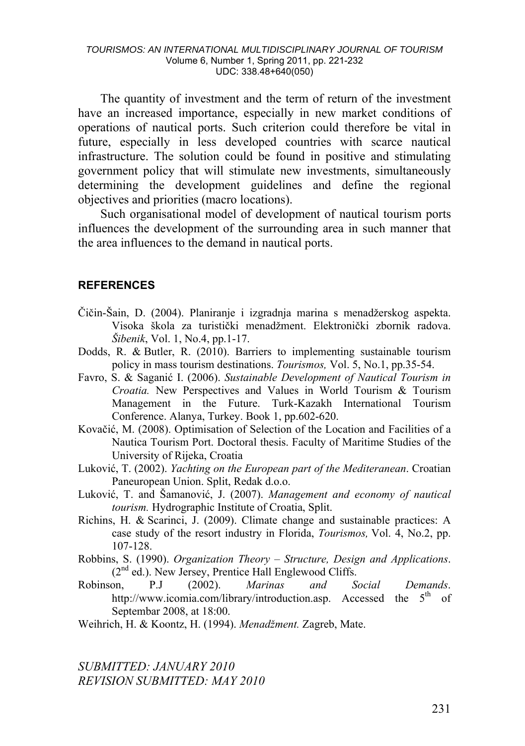The quantity of investment and the term of return of the investment have an increased importance, especially in new market conditions of operations of nautical ports. Such criterion could therefore be vital in future, especially in less developed countries with scarce nautical infrastructure. The solution could be found in positive and stimulating government policy that will stimulate new investments, simultaneously determining the development guidelines and define the regional objectives and priorities (macro locations).

Such organisational model of development of nautical tourism ports influences the development of the surrounding area in such manner that the area influences to the demand in nautical ports.

#### **REFERENCES**

- Čičin-Šain, D. (2004). Planiranje i izgradnja marina s menadžerskog aspekta. Visoka škola za turistički menadžment. Elektronički zbornik radova. *Šibenik*, Vol. 1, No.4, pp.1-17.
- Dodds, R. & Butler, R. (2010). Barriers to implementing sustainable tourism policy in mass tourism destinations. *Tourismos,* Vol. 5, No.1, pp.35-54.
- Favro, S. & Saganić I. (2006). *Sustainable Development of Nautical Tourism in Croatia.* New Perspectives and Values in World Tourism & Tourism Management in the Future. Turk-Kazakh International Tourism Conference. Alanya, Turkey. Book 1, pp.602-620.
- Kovačić, M. (2008). Optimisation of Selection of the Location and Facilities of a Nautica Tourism Port. Doctoral thesis. Faculty of Maritime Studies of the University of Rijeka, Croatia
- Luković, T. (2002). *Yachting on the European part of the Mediteranean*. Croatian Paneuropean Union. Split, Redak d.o.o.
- Luković, T. and Šamanović, J. (2007). *Management and economy of nautical tourism.* Hydrographic Institute of Croatia, Split.
- Richins, H. & Scarinci, J. (2009). Climate change and sustainable practices: A case study of the resort industry in Florida, *Tourismos,* Vol. 4, No.2, pp. 107-128.
- Robbins, S. (1990). *Organization Theory Structure, Design and Applications*.  $(2<sup>nd</sup>$  ed.). New Jersey, Prentice Hall Englewood Cliffs.
- Robinson, P.J (2002). *Marinas and Social Demands*. http://www.icomia.com/library/introduction.asp. Accessed the 5<sup>th</sup> of Septembar 2008, at 18:00.

Weihrich, H. & Koontz, H. (1994). *Menadžment.* Zagreb, Mate.

*SUBMITTED: JANUARY 2010 REVISION SUBMITTED: MAY 2010*